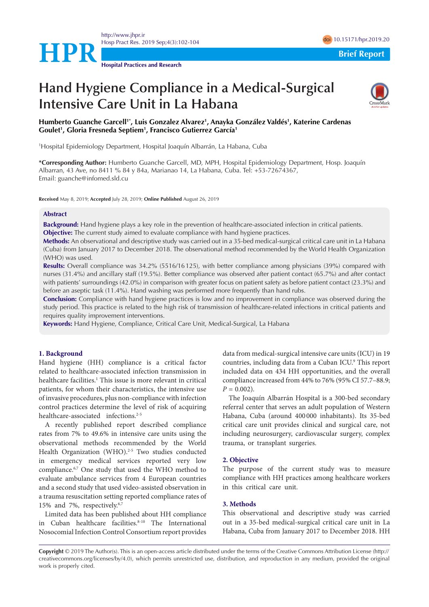



**Hospital Practices and Research**

# **Hand Hygiene Compliance in a Medical-Surgical Intensive Care Unit in La Habana**



# **Humberto Guanche Garcell1\*, Luis Gonzalez Alvarez1 , Anayka González Valdés1 , Katerine Cardenas Goulet1 , Gloria Fresneda Septiem1 , Francisco Gutierrez García1**

1 Hospital Epidemiology Department, Hospital Joaquín Albarrán, La Habana, Cuba

**\*Corresponding Author:** Humberto Guanche Garcell, MD, MPH, Hospital Epidemiology Department, Hosp. Joaquín Albarran, 43 Ave, no 8411 % 84 y 84a, Marianao 14, La Habana, Cuba. Tel: +53-72674367, Email: guanche@infomed.sld.cu

**Received** May 8, 2019; **Accepted** July 28, 2019; **Online Published** August 26, 2019

#### **Abstract**

**Background:** Hand hygiene plays a key role in the prevention of healthcare-associated infection in critical patients. **Objective:** The current study aimed to evaluate compliance with hand hygiene practices.

**Methods:** An observational and descriptive study was carried out in a 35-bed medical-surgical critical care unit in La Habana (Cuba) from January 2017 to December 2018. The observational method recommended by the World Health Organization (WHO) was used.

**Results:** Overall compliance was 34.2% (5516/16125), with better compliance among physicians (39%) compared with nurses (31.4%) and ancillary staff (19.5%). Better compliance was observed after patient contact (65.7%) and after contact with patients' surroundings (42.0%) in comparison with greater focus on patient safety as before patient contact (23.3%) and before an aseptic task (11.4%). Hand washing was performed more frequently than hand rubs.

**Conclusion:** Compliance with hand hygiene practices is low and no improvement in compliance was observed during the study period. This practice is related to the high risk of transmission of healthcare-related infections in critical patients and requires quality improvement interventions.

**Keywords:** Hand Hygiene, Compliance, Critical Care Unit, Medical-Surgical, La Habana

# **1. Background**

Hand hygiene (HH) compliance is a critical factor related to healthcare-associated infection transmission in healthcare facilities.<sup>1</sup> This issue is more relevant in critical patients, for whom their characteristics, the intensive use of invasive procedures, plus non-compliance with infection control practices determine the level of risk of acquiring healthcare-associated infections.<sup>2-5</sup>

A recently published report described compliance rates from 7% to 49.6% in intensive care units using the observational methods recommended by the World Health Organization (WHO).<sup>2-5</sup> Two studies conducted in emergency medical services reported very low compliance.6,7 One study that used the WHO method to evaluate ambulance services from 4 European countries and a second study that used video-assisted observation in a trauma resuscitation setting reported compliance rates of 15% and 7%, respectively.6,7

Limited data has been published about HH compliance in Cuban healthcare facilities.<sup>8-10</sup> The International Nosocomial Infection Control Consortium report provides

data from medical-surgical intensive care units (ICU) in 19 countries, including data from a Cuban ICU.9 This report included data on 434 HH opportunities, and the overall compliance increased from 44% to 76% (95% CI 57.7–88.9;  $P = 0.002$ ).

The Joaquín Albarrán Hospital is a 300-bed secondary referral center that serves an adult population of Western Habana, Cuba (around 400 000 inhabitants). Its 35-bed critical care unit provides clinical and surgical care, not including neurosurgery, cardiovascular surgery, complex trauma, or transplant surgeries.

#### **2. Objective**

The purpose of the current study was to measure compliance with HH practices among healthcare workers in this critical care unit.

# **3. Methods**

This observational and descriptive study was carried out in a 35-bed medical-surgical critical care unit in La Habana, Cuba from January 2017 to December 2018. HH

**Copyright** © 2019 The Author(s). This is an open-access article distributed under the terms of the Creative Commons Attribution License (http:// creativecommons.org/licenses/by/4.0), which permits unrestricted use, distribution, and reproduction in any medium, provided the original work is properly cited.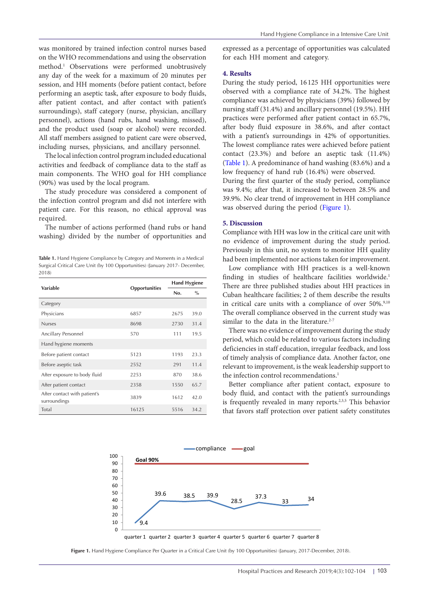was monitored by trained infection control nurses based on the WHO recommendations and using the observation method.1 Observations were performed unobtrusively any day of the week for a maximum of 20 minutes per session, and HH moments (before patient contact, before performing an aseptic task, after exposure to body fluids, after patient contact, and after contact with patient's surroundings), staff category (nurse, physician, ancillary personnel), actions (hand rubs, hand washing, missed), and the product used (soap or alcohol) were recorded. All staff members assigned to patient care were observed, including nurses, physicians, and ancillary personnel.

The local infection control program included educational activities and feedback of compliance data to the staff as main components. The WHO goal for HH compliance (90%) was used by the local program.

The study procedure was considered a component of the infection control program and did not interfere with patient care. For this reason, no ethical approval was required.

The number of actions performed (hand rubs or hand washing) divided by the number of opportunities and

<span id="page-1-0"></span>**Table 1.** Hand Hygiene Compliance by Category and Moments in a Medical Surgical Critical Care Unit (by 100 Opportunities) (January 2017- December, 2018)

| Variable                                     | Opportunities | <b>Hand Hygiene</b> |      |
|----------------------------------------------|---------------|---------------------|------|
|                                              |               | No.                 | $\%$ |
| Category                                     |               |                     |      |
| Physicians                                   | 6857          | 2675                | 39.0 |
| <b>Nurses</b>                                | 8698          | 2730                | 31.4 |
| Ancillary Personnel                          | 570           | 111                 | 19.5 |
| Hand hygiene moments                         |               |                     |      |
| Before patient contact                       | 5123          | 1193                | 23.3 |
| Before aseptic task                          | 2552          | 291                 | 11.4 |
| After exposure to body fluid                 | 2253          | 870                 | 38.6 |
| After patient contact                        | 2358          | 1550                | 65.7 |
| After contact with patient's<br>surroundings | 3839          | 1612                | 42.0 |
| Total                                        | 16125         | 5516                | 34.2 |

expressed as a percentage of opportunities was calculated for each HH moment and category.

#### **4. Results**

During the study period, 16 125 HH opportunities were observed with a compliance rate of 34.2%. The highest compliance was achieved by physicians (39%) followed by nursing staff (31.4%) and ancillary personnel (19.5%). HH practices were performed after patient contact in 65.7%, after body fluid exposure in 38.6%, and after contact with a patient's surroundings in 42% of opportunities. The lowest compliance rates were achieved before patient contact (23.3%) and before an aseptic task (11.4%) [\(Table 1\)](#page-1-0). A predominance of hand washing (83.6%) and a low frequency of hand rub (16.4%) were observed.

During the first quarter of the study period, compliance was 9.4%; after that, it increased to between 28.5% and 39.9%. No clear trend of improvement in HH compliance was observed during the period [\(Figure 1](#page-1-1)).

#### **5. Discussion**

Compliance with HH was low in the critical care unit with no evidence of improvement during the study period. Previously in this unit, no system to monitor HH quality had been implemented nor actions taken for improvement.

Low compliance with HH practices is a well-known finding in studies of healthcare facilities worldwide.<sup>1</sup> There are three published studies about HH practices in Cuban healthcare facilities; 2 of them describe the results in critical care units with a compliance of over 50%.<sup>9,10</sup> The overall compliance observed in the current study was similar to the data in the literature. $2-7$ 

There was no evidence of improvement during the study period, which could be related to various factors including deficiencies in staff education, irregular feedback, and loss of timely analysis of compliance data. Another factor, one relevant to improvement, is the weak leadership support to the infection control recommendations.<sup>1</sup>

<span id="page-1-1"></span>Better compliance after patient contact, exposure to body fluid, and contact with the patient's surroundings is frequently revealed in many reports.<sup>2,3,5</sup> This behavior that favors staff protection over patient safety constitutes



**Figure 1.** Hand Hygiene Compliance Per Quarter in a Critical Care Unit (by 100 Opportunities) (January, 2017-December, 2018).